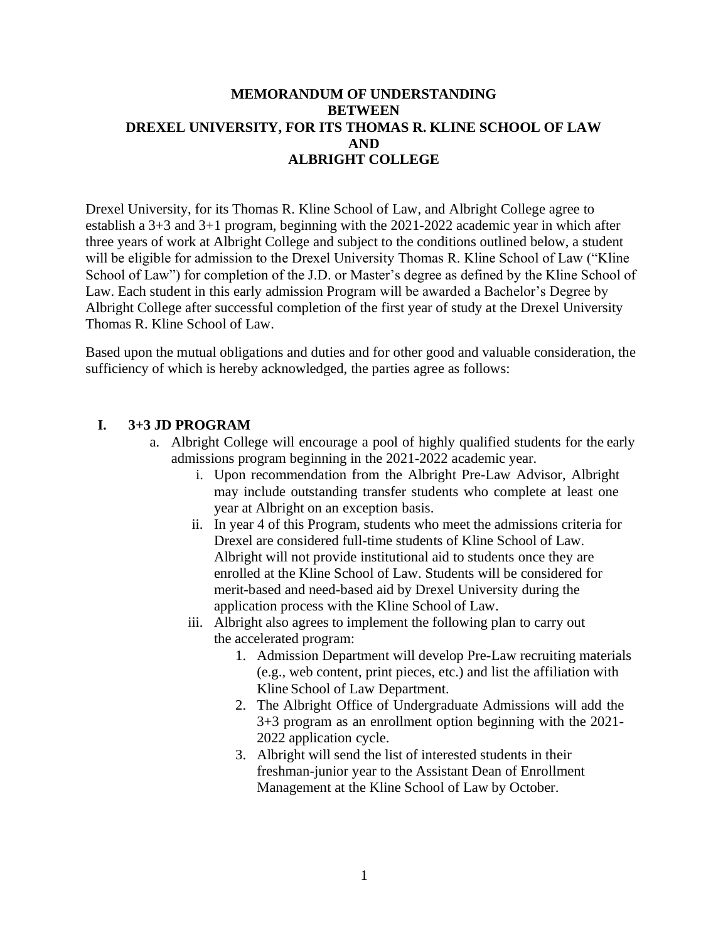## **MEMORANDUM OF UNDERSTANDING BETWEEN DREXEL UNIVERSITY, FOR ITS THOMAS R. KLINE SCHOOL OF LAW AND ALBRIGHT COLLEGE**

Drexel University, for its Thomas R. Kline School of Law, and Albright College agree to establish a 3+3 and 3+1 program, beginning with the 2021-2022 academic year in which after three years of work at Albright College and subject to the conditions outlined below, a student will be eligible for admission to the Drexel University Thomas R. Kline School of Law ("Kline School of Law") for completion of the J.D. or Master's degree as defined by the Kline School of Law. Each student in this early admission Program will be awarded a Bachelor's Degree by Albright College after successful completion of the first year of study at the Drexel University Thomas R. Kline School of Law.

Based upon the mutual obligations and duties and for other good and valuable consideration, the sufficiency of which is hereby acknowledged, the parties agree as follows:

## **I. 3+3 JD PROGRAM**

- a. Albright College will encourage a pool of highly qualified students for the early admissions program beginning in the 2021-2022 academic year.
	- i. Upon recommendation from the Albright Pre-Law Advisor, Albright may include outstanding transfer students who complete at least one year at Albright on an exception basis.
	- ii. In year 4 of this Program, students who meet the admissions criteria for Drexel are considered full-time students of Kline School of Law. Albright will not provide institutional aid to students once they are enrolled at the Kline School of Law. Students will be considered for merit-based and need-based aid by Drexel University during the application process with the Kline School of Law.
	- iii. Albright also agrees to implement the following plan to carry out the accelerated program:
		- 1. Admission Department will develop Pre-Law recruiting materials (e.g., web content, print pieces, etc.) and list the affiliation with Kline School of Law Department.
		- 2. The Albright Office of Undergraduate Admissions will add the 3+3 program as an enrollment option beginning with the 2021- 2022 application cycle.
		- 3. Albright will send the list of interested students in their freshman-junior year to the Assistant Dean of Enrollment Management at the Kline School of Law by October.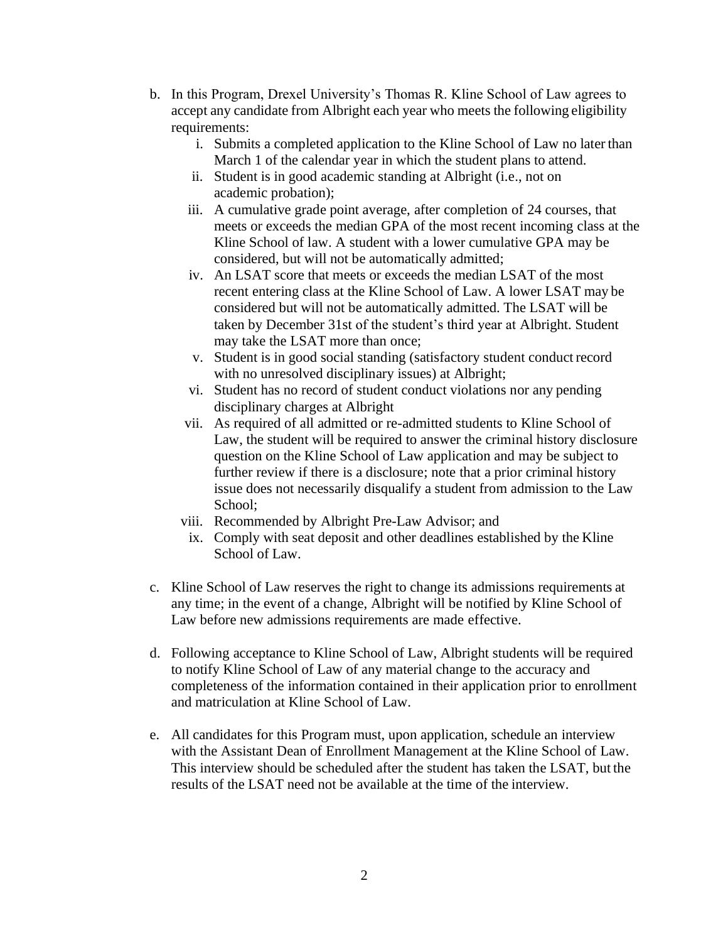- b. In this Program, Drexel University's Thomas R. Kline School of Law agrees to accept any candidate from Albright each year who meets the following eligibility requirements:
	- i. Submits a completed application to the Kline School of Law no later than March 1 of the calendar year in which the student plans to attend.
	- ii. Student is in good academic standing at Albright (i.e., not on academic probation);
	- iii. A cumulative grade point average, after completion of 24 courses, that meets or exceeds the median GPA of the most recent incoming class at the Kline School of law. A student with a lower cumulative GPA may be considered, but will not be automatically admitted;
	- iv. An LSAT score that meets or exceeds the median LSAT of the most recent entering class at the Kline School of Law. A lower LSAT may be considered but will not be automatically admitted. The LSAT will be taken by December 31st of the student's third year at Albright. Student may take the LSAT more than once;
	- v. Student is in good social standing (satisfactory student conduct record with no unresolved disciplinary issues) at Albright;
	- vi. Student has no record of student conduct violations nor any pending disciplinary charges at Albright
	- vii. As required of all admitted or re-admitted students to Kline School of Law, the student will be required to answer the criminal history disclosure question on the Kline School of Law application and may be subject to further review if there is a disclosure; note that a prior criminal history issue does not necessarily disqualify a student from admission to the Law School;
	- viii. Recommended by Albright Pre-Law Advisor; and
		- ix. Comply with seat deposit and other deadlines established by the Kline School of Law.
- c. Kline School of Law reserves the right to change its admissions requirements at any time; in the event of a change, Albright will be notified by Kline School of Law before new admissions requirements are made effective.
- d. Following acceptance to Kline School of Law, Albright students will be required to notify Kline School of Law of any material change to the accuracy and completeness of the information contained in their application prior to enrollment and matriculation at Kline School of Law.
- e. All candidates for this Program must, upon application, schedule an interview with the Assistant Dean of Enrollment Management at the Kline School of Law. This interview should be scheduled after the student has taken the LSAT, but the results of the LSAT need not be available at the time of the interview.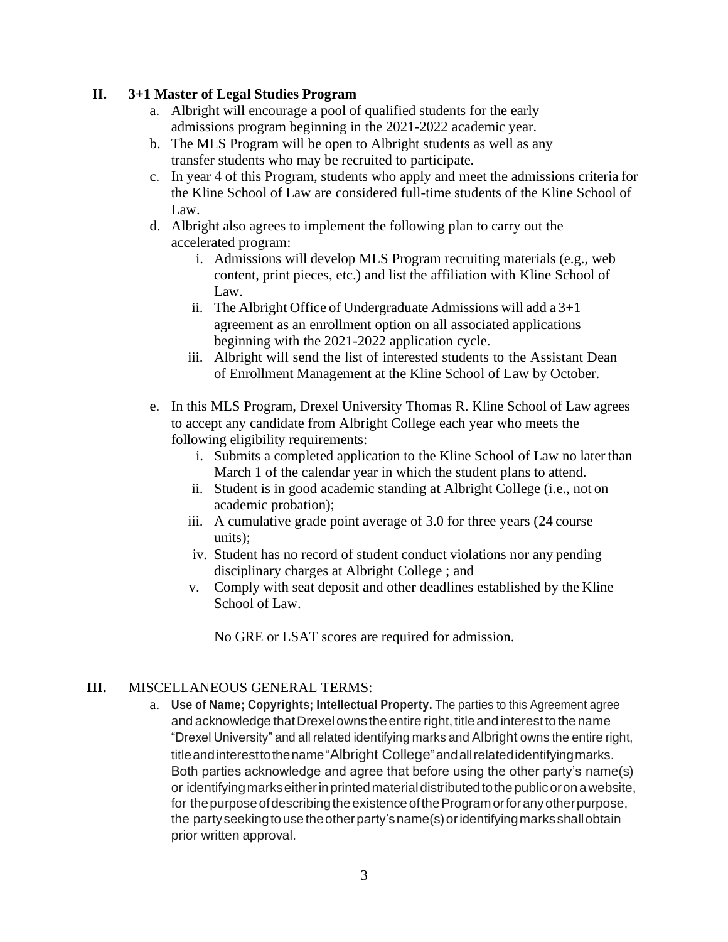## **II. 3+1 Master of Legal Studies Program**

- a. Albright will encourage a pool of qualified students for the early admissions program beginning in the 2021-2022 academic year.
- b. The MLS Program will be open to Albright students as well as any transfer students who may be recruited to participate.
- c. In year 4 of this Program, students who apply and meet the admissions criteria for the Kline School of Law are considered full-time students of the Kline School of Law.
- d. Albright also agrees to implement the following plan to carry out the accelerated program:
	- i. Admissions will develop MLS Program recruiting materials (e.g., web content, print pieces, etc.) and list the affiliation with Kline School of Law.
	- ii. The Albright Office of Undergraduate Admissions will add a  $3+1$ agreement as an enrollment option on all associated applications beginning with the 2021-2022 application cycle.
	- iii. Albright will send the list of interested students to the Assistant Dean of Enrollment Management at the Kline School of Law by October.
- e. In this MLS Program, Drexel University Thomas R. Kline School of Law agrees to accept any candidate from Albright College each year who meets the following eligibility requirements:
	- i. Submits a completed application to the Kline School of Law no later than March 1 of the calendar year in which the student plans to attend.
	- ii. Student is in good academic standing at Albright College (i.e., not on academic probation);
	- iii. A cumulative grade point average of 3.0 for three years (24 course units);
	- iv. Student has no record of student conduct violations nor any pending disciplinary charges at Albright College ; and
	- v. Comply with seat deposit and other deadlines established by the Kline School of Law.

No GRE or LSAT scores are required for admission.

## **III.** MISCELLANEOUS GENERAL TERMS:

a. **Use of Name; Copyrights; Intellectual Property.** The parties to this Agreement agree and acknowledge that Drexel owns the entire right, title and interest to the name "Drexel University" and all related identifying marks and Albright owns the entire right, titleandinteresttothename"Albright College"andallrelatedidentifyingmarks. Both parties acknowledge and agree that before using the other party's name(s) or identifyingmarkseitherinprintedmaterialdistributedtothepublicoronawebsite, for the purpose of describing the existence of the Program or for any other purpose, the partyseekingtousetheotherparty'sname(s)oridentifyingmarksshallobtain prior written approval.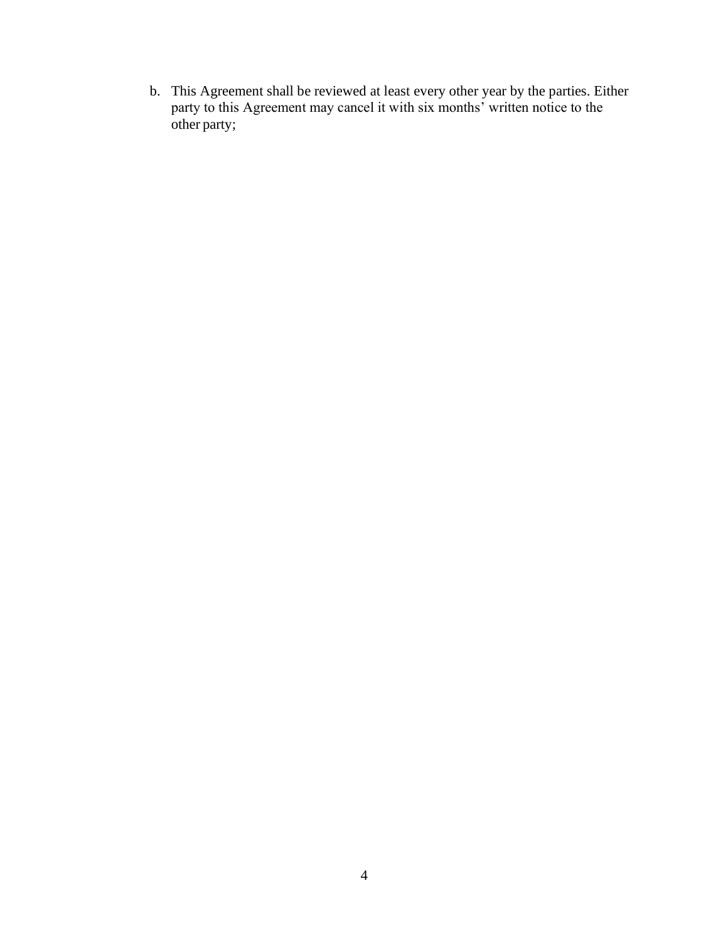b. This Agreement shall be reviewed at least every other year by the parties. Either party to this Agreement may cancel it with six months' written notice to the other party;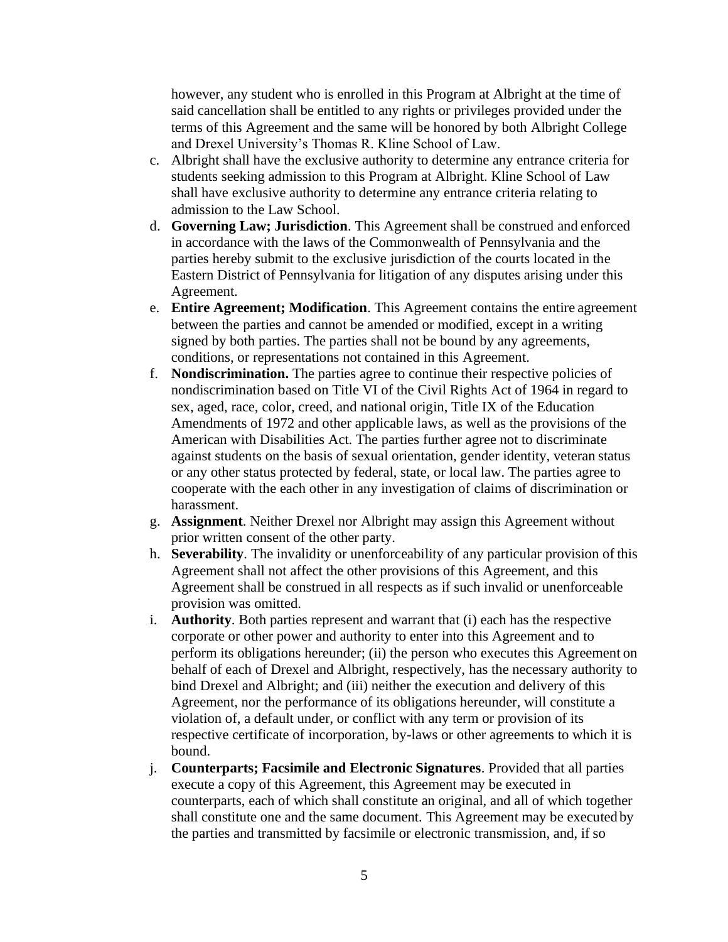however, any student who is enrolled in this Program at Albright at the time of said cancellation shall be entitled to any rights or privileges provided under the terms of this Agreement and the same will be honored by both Albright College and Drexel University's Thomas R. Kline School of Law.

- c. Albright shall have the exclusive authority to determine any entrance criteria for students seeking admission to this Program at Albright. Kline School of Law shall have exclusive authority to determine any entrance criteria relating to admission to the Law School.
- d. **Governing Law; Jurisdiction**. This Agreement shall be construed and enforced in accordance with the laws of the Commonwealth of Pennsylvania and the parties hereby submit to the exclusive jurisdiction of the courts located in the Eastern District of Pennsylvania for litigation of any disputes arising under this Agreement.
- e. **Entire Agreement; Modification**. This Agreement contains the entire agreement between the parties and cannot be amended or modified, except in a writing signed by both parties. The parties shall not be bound by any agreements, conditions, or representations not contained in this Agreement.
- f. **Nondiscrimination.** The parties agree to continue their respective policies of nondiscrimination based on Title VI of the Civil Rights Act of 1964 in regard to sex, aged, race, color, creed, and national origin, Title IX of the Education Amendments of 1972 and other applicable laws, as well as the provisions of the American with Disabilities Act. The parties further agree not to discriminate against students on the basis of sexual orientation, gender identity, veteran status or any other status protected by federal, state, or local law. The parties agree to cooperate with the each other in any investigation of claims of discrimination or harassment.
- g. **Assignment**. Neither Drexel nor Albright may assign this Agreement without prior written consent of the other party.
- h. **Severability**. The invalidity or unenforceability of any particular provision of this Agreement shall not affect the other provisions of this Agreement, and this Agreement shall be construed in all respects as if such invalid or unenforceable provision was omitted.
- i. **Authority**. Both parties represent and warrant that (i) each has the respective corporate or other power and authority to enter into this Agreement and to perform its obligations hereunder; (ii) the person who executes this Agreement on behalf of each of Drexel and Albright, respectively, has the necessary authority to bind Drexel and Albright; and (iii) neither the execution and delivery of this Agreement, nor the performance of its obligations hereunder, will constitute a violation of, a default under, or conflict with any term or provision of its respective certificate of incorporation, by-laws or other agreements to which it is bound.
- j. **Counterparts; Facsimile and Electronic Signatures**. Provided that all parties execute a copy of this Agreement, this Agreement may be executed in counterparts, each of which shall constitute an original, and all of which together shall constitute one and the same document. This Agreement may be executed by the parties and transmitted by facsimile or electronic transmission, and, if so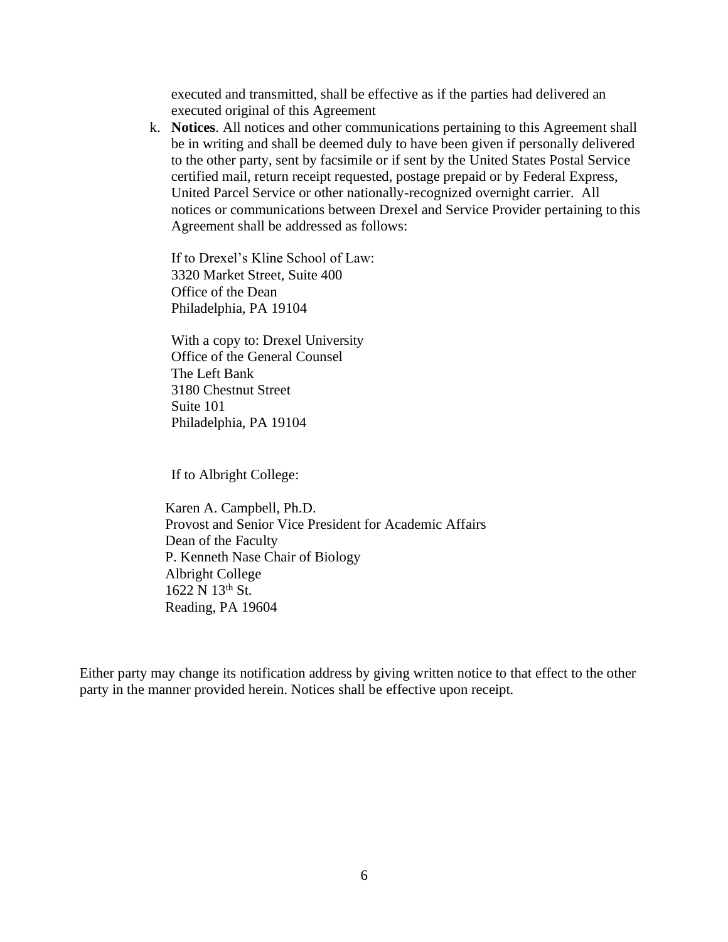executed and transmitted, shall be effective as if the parties had delivered an executed original of this Agreement

k. **Notices**. All notices and other communications pertaining to this Agreement shall be in writing and shall be deemed duly to have been given if personally delivered to the other party, sent by facsimile or if sent by the United States Postal Service certified mail, return receipt requested, postage prepaid or by Federal Express, United Parcel Service or other nationally-recognized overnight carrier. All notices or communications between Drexel and Service Provider pertaining to this Agreement shall be addressed as follows:

If to Drexel's Kline School of Law: 3320 Market Street, Suite 400 Office of the Dean Philadelphia, PA 19104

With a copy to: Drexel University Office of the General Counsel The Left Bank 3180 Chestnut Street Suite 101 Philadelphia, PA 19104

If to Albright College:

Karen A. Campbell, Ph.D. Provost and Senior Vice President for Academic Affairs Dean of the Faculty P. Kenneth Nase Chair of Biology Albright College 1622 N 13th St. Reading, PA 19604

Either party may change its notification address by giving written notice to that effect to the other party in the manner provided herein. Notices shall be effective upon receipt.